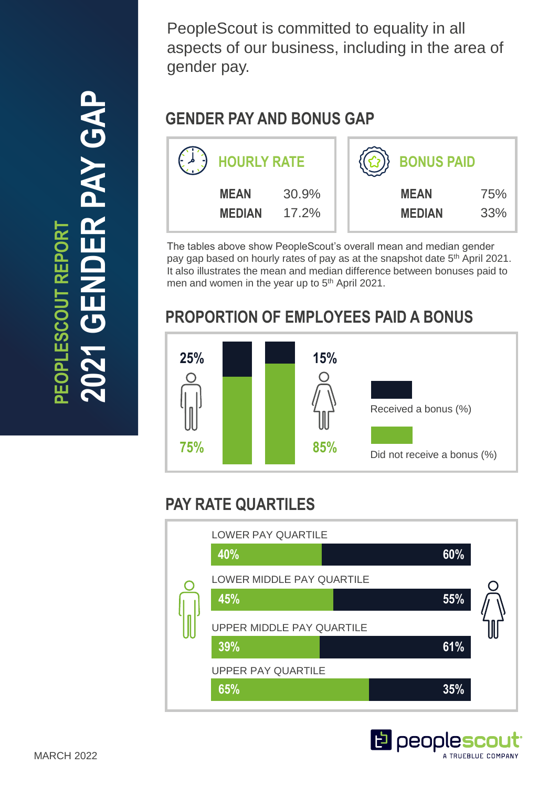ER PAY GAP **2021 GENDER PAY GAP PEOPLESCOUT REPORT OPLESCOUT REPORT** 

PeopleScout is committed to equality in all aspects of our business, including in the area of gender pay.

## **GENDER PAY AND BONUS GAP**

| <b>HOURLY RATE</b>           |                | <b>BONUS PAID</b> |                              |            |
|------------------------------|----------------|-------------------|------------------------------|------------|
| <b>MEAN</b><br><b>MEDIAN</b> | 30.9%<br>17.2% |                   | <b>MEAN</b><br><b>MEDIAN</b> | 75%<br>33% |

The tables above show PeopleScout's overall mean and median gender pay gap based on hourly rates of pay as at the snapshot date 5<sup>th</sup> April 2021. It also illustrates the mean and median difference between bonuses paid to men and women in the year up to 5<sup>th</sup> April 2021.

# **PROPORTION OF EMPLOYEES PAID A BONUS**



# **PAY RATE QUARTILES**